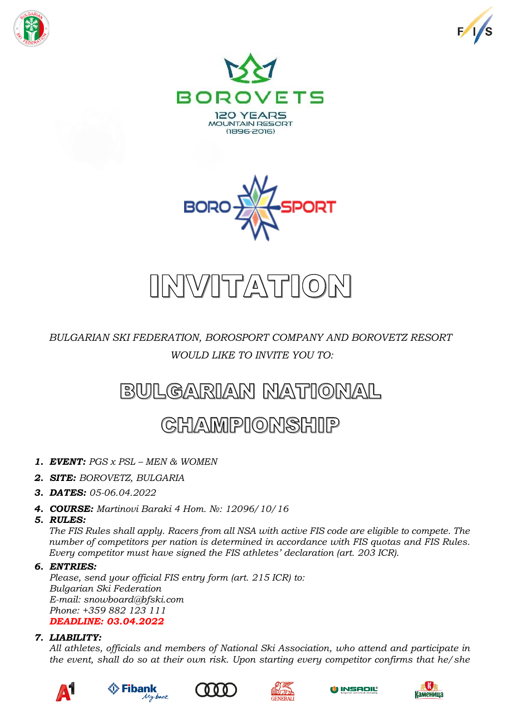







# INVITATION

*BULGARIAN SKI FEDERATION, BOROSPORT COMPANY AND BOROVETZ RESORT WOULD LIKE TO INVITE YOU TO:*

# BULGARIAN NATIONAL

# **CHAMPIONSHIP**

- *1. EVENT: PGS x PSL – MEN & WOMEN*
- *2. SITE: BOROVETZ, BULGARIA*
- *3. DATES: 05-06.04.2022*
- *4. COURSE: Martinovi Baraki 4 Hom. №: 12096/10/16*
- *5. RULES:*

*The FIS Rules shall apply. Racers from all NSA with active FIS code are eligible to compete. The number of competitors per nation is determined in accordance with FIS quotas and FIS Rules. Every competitor must have signed the FIS athletes' declaration (art. 203 ICR).*

# *6. ENTRIES:*

*Please, send your official FIS entry form (art. 215 ICR) to: Bulgarian Ski Federation E-mail: snowboard@bfski.com Phone: +359 882 123 111 DEADLINE: 03.04.2022*

# *7. LIABILITY:*

*All athletes, officials and members of National Ski Association, who attend and participate in the event, shall do so at their own risk. Upon starting every competitor confirms that he/she* 









O INSAOIL

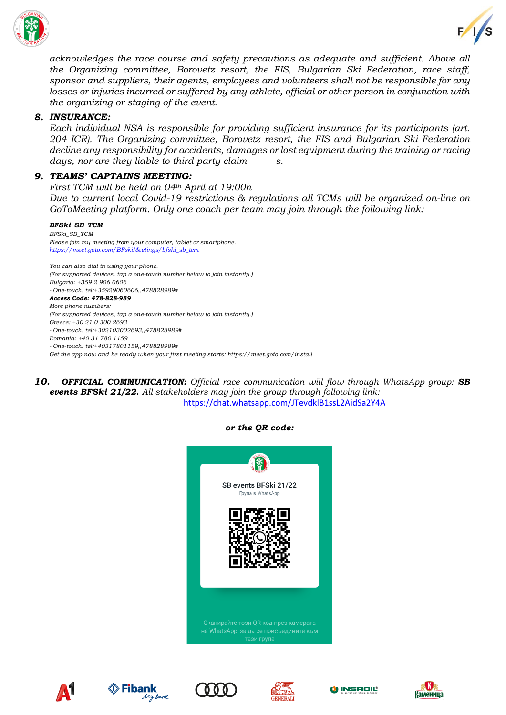



*acknowledges the race course and safety precautions as adequate and sufficient. Above all the Organizing committee, Borovetz resort, the FIS, Bulgarian Ski Federation, race staff, sponsor and suppliers, their agents, employees and volunteers shall not be responsible for any losses or injuries incurred or suffered by any athlete, official or other person in conjunction with the organizing or staging of the event.*

### *8. INSURANCE:*

*Each individual NSA is responsible for providing sufficient insurance for its participants (art. 204 ICR). The Organizing committee, Borovetz resort, the FIS and Bulgarian Ski Federation decline any responsibility for accidents, damages or lost equipment during the training or racing days, nor are they liable to third party claim s.*

### *9. TEAMS' CAPTAINS MEETING:*

*First TCM will be held on 04th April at 19:00h Due to current local Covid-19 restrictions & regulations all TCMs will be organized on-line on GoToMeeting platform. Only one coach per team may join through the following link:*

#### *BFSki\_SB\_TCM*

*BFSki\_SB\_TCM Please join my meeting from your computer, tablet or smartphone. [https://meet.goto.com/BFskiMeetings/bfski\\_sb\\_tcm](https://meet.goto.com/BFskiMeetings/bfski_sb_tcm)*

*You can also dial in using your phone. (For supported devices, tap a one-touch number below to join instantly.) Bulgaria: +359 2 906 0606 - One-touch: tel:+35929060606,,478828989# Access Code: 478-828-989 More phone numbers: (For supported devices, tap a one-touch number below to join instantly.) Greece: +30 21 0 300 2693 - One-touch: tel:+302103002693,,478828989# Romania: +40 31 780 1159 - One-touch: tel:+40317801159,,478828989# Get the app now and be ready when your first meeting starts: https://meet.goto.com/install*

*10. OFFICIAL COMMUNICATION: Official race communication will flow through WhatsApp group: SB events BFSki 21/22. All stakeholders may join the group through following link:* <https://chat.whatsapp.com/JTevdklB1ssL2AidSa2Y4A>

#### *or the QR code:*